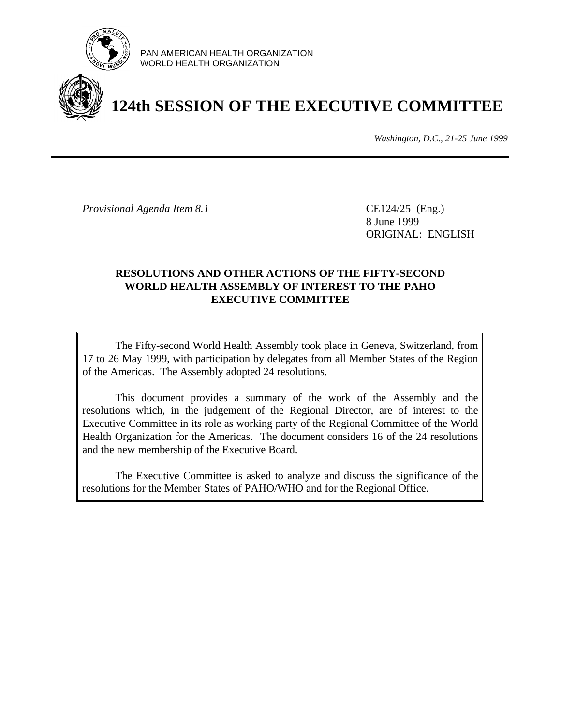

PAN AMERICAN HEALTH ORGANIZATION WORLD HEALTH ORGANIZATION

# **124th SESSION OF THE EXECUTIVE COMMITTEE**

*Washington, D.C., 21-25 June 1999*

*Provisional Agenda Item 8.1* CE124/25 (Eng.)

8 June 1999 ORIGINAL: ENGLISH

# **RESOLUTIONS AND OTHER ACTIONS OF THE FIFTY-SECOND WORLD HEALTH ASSEMBLY OF INTEREST TO THE PAHO EXECUTIVE COMMITTEE**

The Fifty-second World Health Assembly took place in Geneva, Switzerland, from 17 to 26 May 1999, with participation by delegates from all Member States of the Region of the Americas. The Assembly adopted 24 resolutions.

This document provides a summary of the work of the Assembly and the resolutions which, in the judgement of the Regional Director, are of interest to the Executive Committee in its role as working party of the Regional Committee of the World Health Organization for the Americas. The document considers 16 of the 24 resolutions and the new membership of the Executive Board.

The Executive Committee is asked to analyze and discuss the significance of the resolutions for the Member States of PAHO/WHO and for the Regional Office.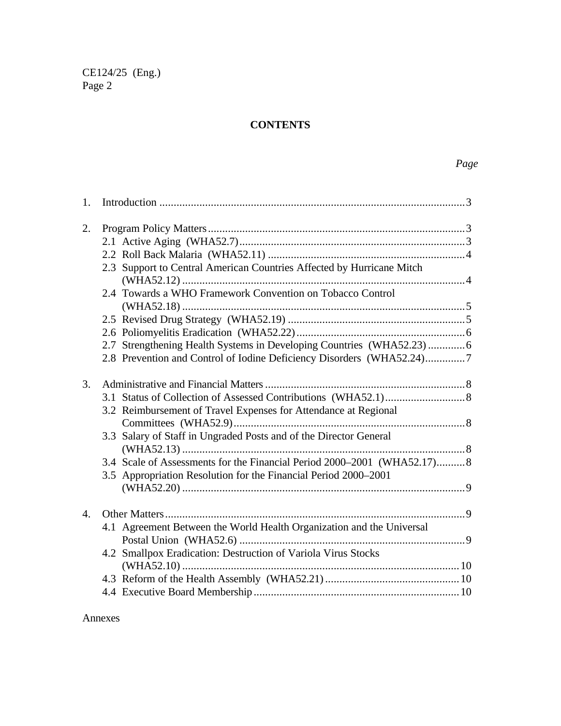# **CONTENTS**

| 1.               |  |                                                                         |  |
|------------------|--|-------------------------------------------------------------------------|--|
| 2.               |  |                                                                         |  |
|                  |  |                                                                         |  |
|                  |  |                                                                         |  |
|                  |  | 2.3 Support to Central American Countries Affected by Hurricane Mitch   |  |
|                  |  |                                                                         |  |
|                  |  | 2.4 Towards a WHO Framework Convention on Tobacco Control               |  |
|                  |  |                                                                         |  |
|                  |  |                                                                         |  |
|                  |  |                                                                         |  |
|                  |  | 2.7 Strengthening Health Systems in Developing Countries (WHA52.23)6    |  |
|                  |  | 2.8 Prevention and Control of Iodine Deficiency Disorders (WHA52.24)7   |  |
|                  |  |                                                                         |  |
| 3.               |  |                                                                         |  |
|                  |  |                                                                         |  |
|                  |  | 3.2 Reimbursement of Travel Expenses for Attendance at Regional         |  |
|                  |  |                                                                         |  |
|                  |  | 3.3 Salary of Staff in Ungraded Posts and of the Director General       |  |
|                  |  |                                                                         |  |
|                  |  | 3.4 Scale of Assessments for the Financial Period 2000–2001 (WHA52.17)8 |  |
|                  |  | 3.5 Appropriation Resolution for the Financial Period 2000–2001         |  |
|                  |  |                                                                         |  |
|                  |  |                                                                         |  |
| $\overline{4}$ . |  |                                                                         |  |
|                  |  | 4.1 Agreement Between the World Health Organization and the Universal   |  |
|                  |  |                                                                         |  |
|                  |  | 4.2 Smallpox Eradication: Destruction of Variola Virus Stocks           |  |
|                  |  |                                                                         |  |
|                  |  |                                                                         |  |
|                  |  |                                                                         |  |

Annexes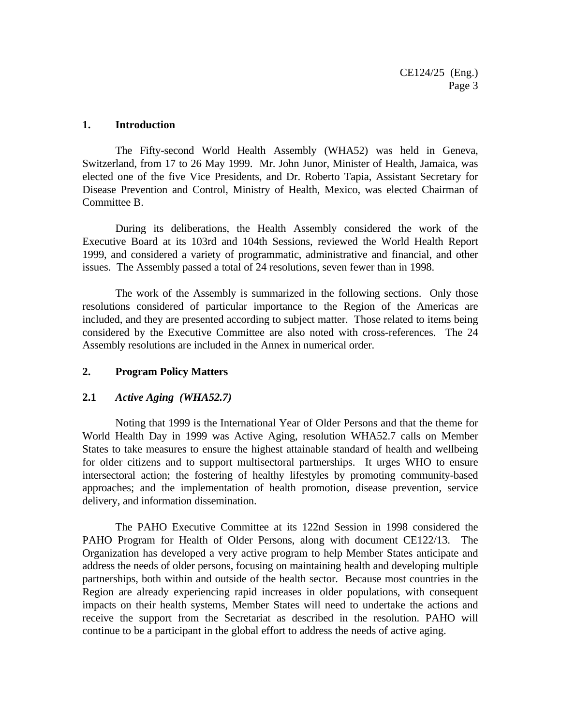#### **1. Introduction**

The Fifty-second World Health Assembly (WHA52) was held in Geneva, Switzerland, from 17 to 26 May 1999. Mr. John Junor, Minister of Health, Jamaica, was elected one of the five Vice Presidents, and Dr. Roberto Tapia, Assistant Secretary for Disease Prevention and Control, Ministry of Health, Mexico, was elected Chairman of Committee B.

During its deliberations, the Health Assembly considered the work of the Executive Board at its 103rd and 104th Sessions, reviewed the World Health Report 1999, and considered a variety of programmatic, administrative and financial, and other issues. The Assembly passed a total of 24 resolutions, seven fewer than in 1998.

The work of the Assembly is summarized in the following sections. Only those resolutions considered of particular importance to the Region of the Americas are included, and they are presented according to subject matter. Those related to items being considered by the Executive Committee are also noted with cross-references. The 24 Assembly resolutions are included in the Annex in numerical order.

#### **2. Program Policy Matters**

#### **2.1** *Active Aging (WHA52.7)*

Noting that 1999 is the International Year of Older Persons and that the theme for World Health Day in 1999 was Active Aging, resolution WHA52.7 calls on Member States to take measures to ensure the highest attainable standard of health and wellbeing for older citizens and to support multisectoral partnerships. It urges WHO to ensure intersectoral action; the fostering of healthy lifestyles by promoting community-based approaches; and the implementation of health promotion, disease prevention, service delivery, and information dissemination.

The PAHO Executive Committee at its 122nd Session in 1998 considered the PAHO Program for Health of Older Persons, along with document CE122/13. The Organization has developed a very active program to help Member States anticipate and address the needs of older persons, focusing on maintaining health and developing multiple partnerships, both within and outside of the health sector. Because most countries in the Region are already experiencing rapid increases in older populations, with consequent impacts on their health systems, Member States will need to undertake the actions and receive the support from the Secretariat as described in the resolution. PAHO will continue to be a participant in the global effort to address the needs of active aging.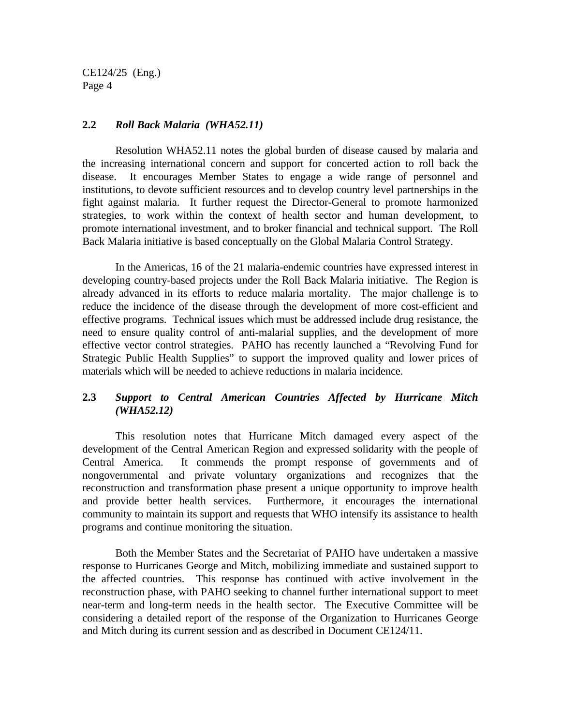#### **2.2** *Roll Back Malaria (WHA52.11)*

Resolution WHA52.11 notes the global burden of disease caused by malaria and the increasing international concern and support for concerted action to roll back the disease. It encourages Member States to engage a wide range of personnel and institutions, to devote sufficient resources and to develop country level partnerships in the fight against malaria. It further request the Director-General to promote harmonized strategies, to work within the context of health sector and human development, to promote international investment, and to broker financial and technical support. The Roll Back Malaria initiative is based conceptually on the Global Malaria Control Strategy.

In the Americas, 16 of the 21 malaria-endemic countries have expressed interest in developing country-based projects under the Roll Back Malaria initiative. The Region is already advanced in its efforts to reduce malaria mortality. The major challenge is to reduce the incidence of the disease through the development of more cost-efficient and effective programs. Technical issues which must be addressed include drug resistance, the need to ensure quality control of anti-malarial supplies, and the development of more effective vector control strategies. PAHO has recently launched a "Revolving Fund for Strategic Public Health Supplies" to support the improved quality and lower prices of materials which will be needed to achieve reductions in malaria incidence.

# **2.3** *Support to Central American Countries Affected by Hurricane Mitch (WHA52.12)*

This resolution notes that Hurricane Mitch damaged every aspect of the development of the Central American Region and expressed solidarity with the people of Central America. It commends the prompt response of governments and of nongovernmental and private voluntary organizations and recognizes that the reconstruction and transformation phase present a unique opportunity to improve health and provide better health services. Furthermore, it encourages the international community to maintain its support and requests that WHO intensify its assistance to health programs and continue monitoring the situation.

Both the Member States and the Secretariat of PAHO have undertaken a massive response to Hurricanes George and Mitch, mobilizing immediate and sustained support to the affected countries. This response has continued with active involvement in the reconstruction phase, with PAHO seeking to channel further international support to meet near-term and long-term needs in the health sector. The Executive Committee will be considering a detailed report of the response of the Organization to Hurricanes George and Mitch during its current session and as described in Document CE124/11.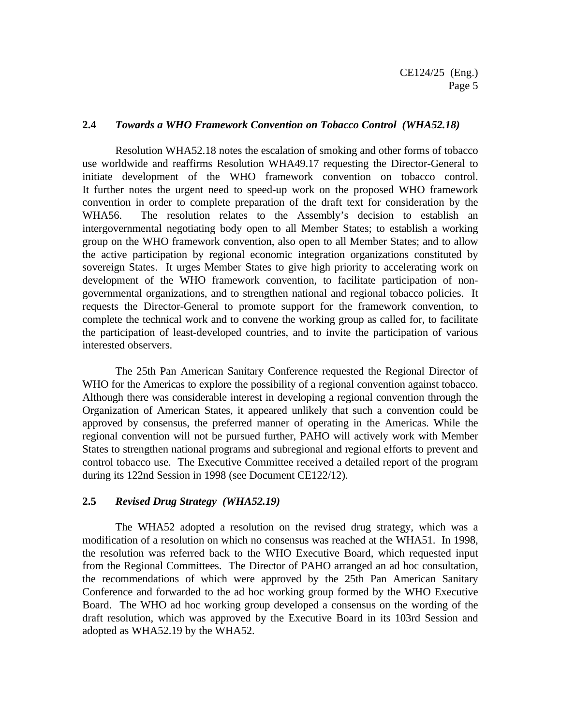#### **2.4** *Towards a WHO Framework Convention on Tobacco Control (WHA52.18)*

Resolution WHA52.18 notes the escalation of smoking and other forms of tobacco use worldwide and reaffirms Resolution WHA49.17 requesting the Director-General to initiate development of the WHO framework convention on tobacco control. It further notes the urgent need to speed-up work on the proposed WHO framework convention in order to complete preparation of the draft text for consideration by the WHA56. The resolution relates to the Assembly's decision to establish an intergovernmental negotiating body open to all Member States; to establish a working group on the WHO framework convention, also open to all Member States; and to allow the active participation by regional economic integration organizations constituted by sovereign States. It urges Member States to give high priority to accelerating work on development of the WHO framework convention, to facilitate participation of nongovernmental organizations, and to strengthen national and regional tobacco policies. It requests the Director-General to promote support for the framework convention, to complete the technical work and to convene the working group as called for, to facilitate the participation of least-developed countries, and to invite the participation of various interested observers.

The 25th Pan American Sanitary Conference requested the Regional Director of WHO for the Americas to explore the possibility of a regional convention against tobacco. Although there was considerable interest in developing a regional convention through the Organization of American States, it appeared unlikely that such a convention could be approved by consensus, the preferred manner of operating in the Americas. While the regional convention will not be pursued further, PAHO will actively work with Member States to strengthen national programs and subregional and regional efforts to prevent and control tobacco use. The Executive Committee received a detailed report of the program during its 122nd Session in 1998 (see Document CE122/12).

#### **2.5** *Revised Drug Strategy (WHA52.19)*

The WHA52 adopted a resolution on the revised drug strategy, which was a modification of a resolution on which no consensus was reached at the WHA51. In 1998, the resolution was referred back to the WHO Executive Board, which requested input from the Regional Committees. The Director of PAHO arranged an ad hoc consultation, the recommendations of which were approved by the 25th Pan American Sanitary Conference and forwarded to the ad hoc working group formed by the WHO Executive Board. The WHO ad hoc working group developed a consensus on the wording of the draft resolution, which was approved by the Executive Board in its 103rd Session and adopted as WHA52.19 by the WHA52.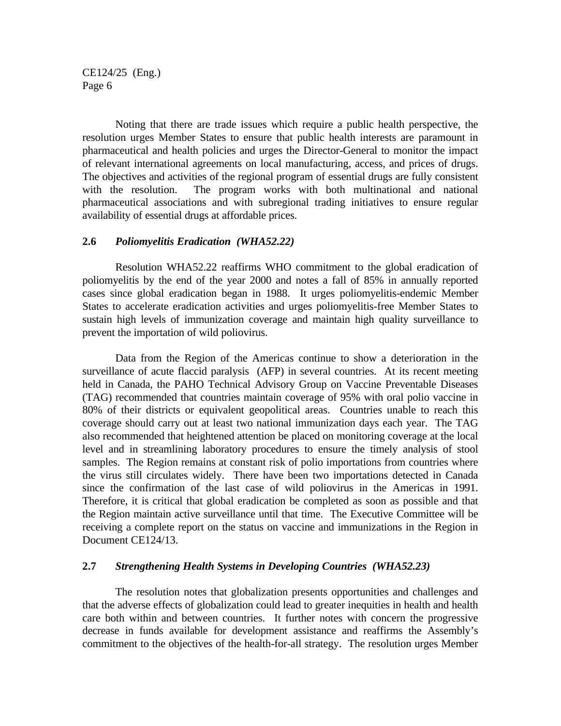Noting that there are trade issues which require a public health perspective, the resolution urges Member States to ensure that public health interests are paramount in pharmaceutical and health policies and urges the Director-General to monitor the impact of relevant international agreements on local manufacturing, access, and prices of drugs. The objectives and activities of the regional program of essential drugs are fully consistent with the resolution. The program works with both multinational and national pharmaceutical associations and with subregional trading initiatives to ensure regular availability of essential drugs at affordable prices.

#### **2.6** *Poliomyelitis Eradication (WHA52.22)*

Resolution WHA52.22 reaffirms WHO commitment to the global eradication of poliomyelitis by the end of the year 2000 and notes a fall of 85% in annually reported cases since global eradication began in 1988. It urges poliomyelitis-endemic Member States to accelerate eradication activities and urges poliomyelitis-free Member States to sustain high levels of immunization coverage and maintain high quality surveillance to prevent the importation of wild poliovirus.

Data from the Region of the Americas continue to show a deterioration in the surveillance of acute flaccid paralysis (AFP) in several countries. At its recent meeting held in Canada, the PAHO Technical Advisory Group on Vaccine Preventable Diseases (TAG) recommended that countries maintain coverage of 95% with oral polio vaccine in 80% of their districts or equivalent geopolitical areas. Countries unable to reach this coverage should carry out at least two national immunization days each year. The TAG also recommended that heightened attention be placed on monitoring coverage at the local level and in streamlining laboratory procedures to ensure the timely analysis of stool samples. The Region remains at constant risk of polio importations from countries where the virus still circulates widely. There have been two importations detected in Canada since the confirmation of the last case of wild poliovirus in the Americas in 1991. Therefore, it is critical that global eradication be completed as soon as possible and that the Region maintain active surveillance until that time. The Executive Committee will be receiving a complete report on the status on vaccine and immunizations in the Region in Document CE124/13.

#### **2.7** *Strengthening Health Systems in Developing Countries (WHA52.23)*

The resolution notes that globalization presents opportunities and challenges and that the adverse effects of globalization could lead to greater inequities in health and health care both within and between countries. It further notes with concern the progressive decrease in funds available for development assistance and reaffirms the Assembly's commitment to the objectives of the health-for-all strategy. The resolution urges Member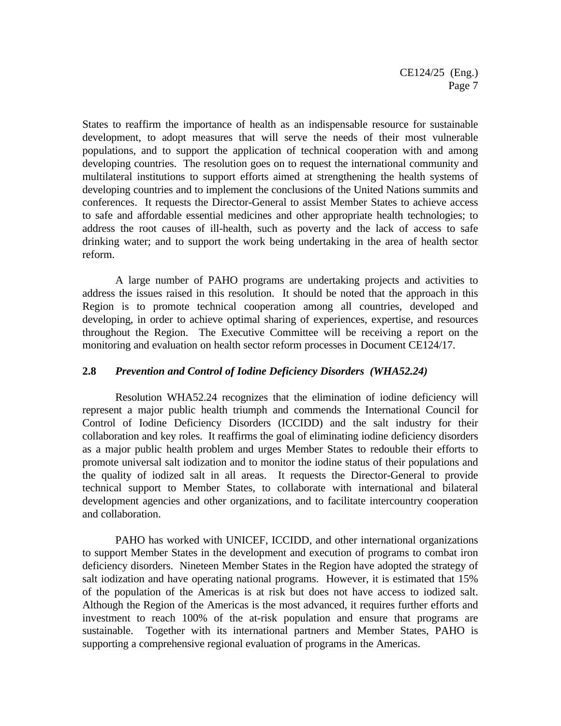States to reaffirm the importance of health as an indispensable resource for sustainable development, to adopt measures that will serve the needs of their most vulnerable populations, and to support the application of technical cooperation with and among developing countries. The resolution goes on to request the international community and multilateral institutions to support efforts aimed at strengthening the health systems of developing countries and to implement the conclusions of the United Nations summits and conferences. It requests the Director-General to assist Member States to achieve access to safe and affordable essential medicines and other appropriate health technologies; to address the root causes of ill-health, such as poverty and the lack of access to safe drinking water; and to support the work being undertaking in the area of health sector reform.

A large number of PAHO programs are undertaking projects and activities to address the issues raised in this resolution. It should be noted that the approach in this Region is to promote technical cooperation among all countries, developed and developing, in order to achieve optimal sharing of experiences, expertise, and resources throughout the Region. The Executive Committee will be receiving a report on the monitoring and evaluation on health sector reform processes in Document CE124/17.

#### **2.8** *Prevention and Control of Iodine Deficiency Disorders (WHA52.24)*

Resolution WHA52.24 recognizes that the elimination of iodine deficiency will represent a major public health triumph and commends the International Council for Control of Iodine Deficiency Disorders (ICCIDD) and the salt industry for their collaboration and key roles. It reaffirms the goal of eliminating iodine deficiency disorders as a major public health problem and urges Member States to redouble their efforts to promote universal salt iodization and to monitor the iodine status of their populations and the quality of iodized salt in all areas. It requests the Director-General to provide technical support to Member States, to collaborate with international and bilateral development agencies and other organizations, and to facilitate intercountry cooperation and collaboration.

PAHO has worked with UNICEF, ICCIDD, and other international organizations to support Member States in the development and execution of programs to combat iron deficiency disorders. Nineteen Member States in the Region have adopted the strategy of salt iodization and have operating national programs. However, it is estimated that 15% of the population of the Americas is at risk but does not have access to iodized salt. Although the Region of the Americas is the most advanced, it requires further efforts and investment to reach 100% of the at-risk population and ensure that programs are sustainable. Together with its international partners and Member States, PAHO is supporting a comprehensive regional evaluation of programs in the Americas.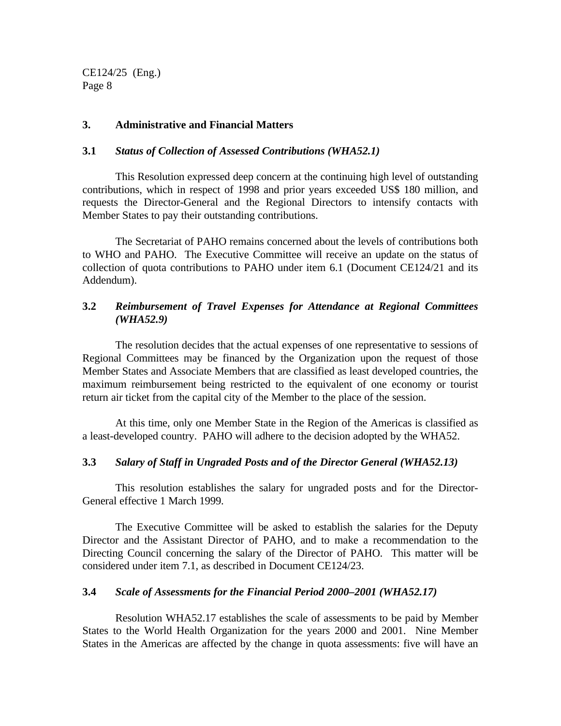#### **3. Administrative and Financial Matters**

#### **3.1** *Status of Collection of Assessed Contributions (WHA52.1)*

This Resolution expressed deep concern at the continuing high level of outstanding contributions, which in respect of 1998 and prior years exceeded US\$ 180 million, and requests the Director-General and the Regional Directors to intensify contacts with Member States to pay their outstanding contributions.

The Secretariat of PAHO remains concerned about the levels of contributions both to WHO and PAHO. The Executive Committee will receive an update on the status of collection of quota contributions to PAHO under item 6.1 (Document CE124/21 and its Addendum).

## **3.2** *Reimbursement of Travel Expenses for Attendance at Regional Committees (WHA52.9)*

The resolution decides that the actual expenses of one representative to sessions of Regional Committees may be financed by the Organization upon the request of those Member States and Associate Members that are classified as least developed countries, the maximum reimbursement being restricted to the equivalent of one economy or tourist return air ticket from the capital city of the Member to the place of the session.

At this time, only one Member State in the Region of the Americas is classified as a least-developed country. PAHO will adhere to the decision adopted by the WHA52.

#### **3.3** *Salary of Staff in Ungraded Posts and of the Director General (WHA52.13)*

This resolution establishes the salary for ungraded posts and for the Director-General effective 1 March 1999.

The Executive Committee will be asked to establish the salaries for the Deputy Director and the Assistant Director of PAHO, and to make a recommendation to the Directing Council concerning the salary of the Director of PAHO. This matter will be considered under item 7.1, as described in Document CE124/23.

#### **3.4** *Scale of Assessments for the Financial Period 2000–2001 (WHA52.17)*

Resolution WHA52.17 establishes the scale of assessments to be paid by Member States to the World Health Organization for the years 2000 and 2001. Nine Member States in the Americas are affected by the change in quota assessments: five will have an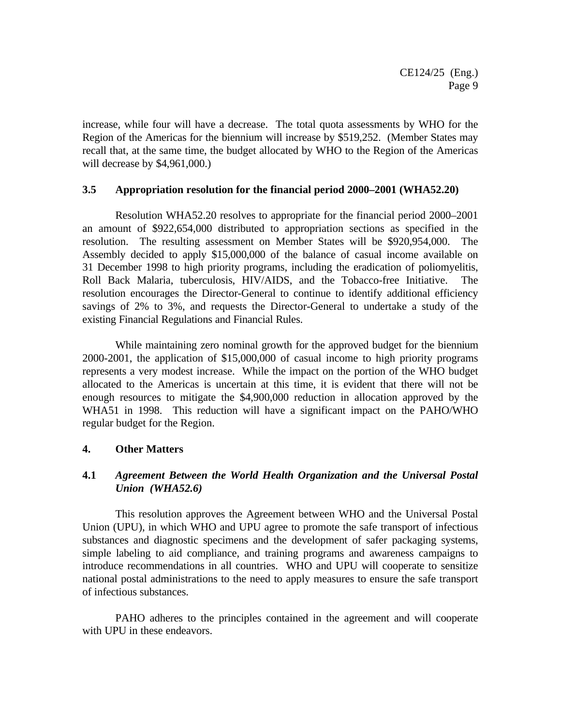increase, while four will have a decrease. The total quota assessments by WHO for the Region of the Americas for the biennium will increase by \$519,252. (Member States may recall that, at the same time, the budget allocated by WHO to the Region of the Americas will decrease by \$4,961,000.)

#### **3.5 Appropriation resolution for the financial period 2000–2001 (WHA52.20)**

Resolution WHA52.20 resolves to appropriate for the financial period 2000–2001 an amount of \$922,654,000 distributed to appropriation sections as specified in the resolution. The resulting assessment on Member States will be \$920,954,000. The Assembly decided to apply \$15,000,000 of the balance of casual income available on 31 December 1998 to high priority programs, including the eradication of poliomyelitis, Roll Back Malaria, tuberculosis, HIV/AIDS, and the Tobacco-free Initiative. The resolution encourages the Director-General to continue to identify additional efficiency savings of 2% to 3%, and requests the Director-General to undertake a study of the existing Financial Regulations and Financial Rules.

While maintaining zero nominal growth for the approved budget for the biennium 2000-2001, the application of \$15,000,000 of casual income to high priority programs represents a very modest increase. While the impact on the portion of the WHO budget allocated to the Americas is uncertain at this time, it is evident that there will not be enough resources to mitigate the \$4,900,000 reduction in allocation approved by the WHA51 in 1998. This reduction will have a significant impact on the PAHO/WHO regular budget for the Region.

#### **4. Other Matters**

# **4.1** *Agreement Between the World Health Organization and the Universal Postal Union (WHA52.6)*

This resolution approves the Agreement between WHO and the Universal Postal Union (UPU), in which WHO and UPU agree to promote the safe transport of infectious substances and diagnostic specimens and the development of safer packaging systems, simple labeling to aid compliance, and training programs and awareness campaigns to introduce recommendations in all countries. WHO and UPU will cooperate to sensitize national postal administrations to the need to apply measures to ensure the safe transport of infectious substances.

PAHO adheres to the principles contained in the agreement and will cooperate with UPU in these endeavors.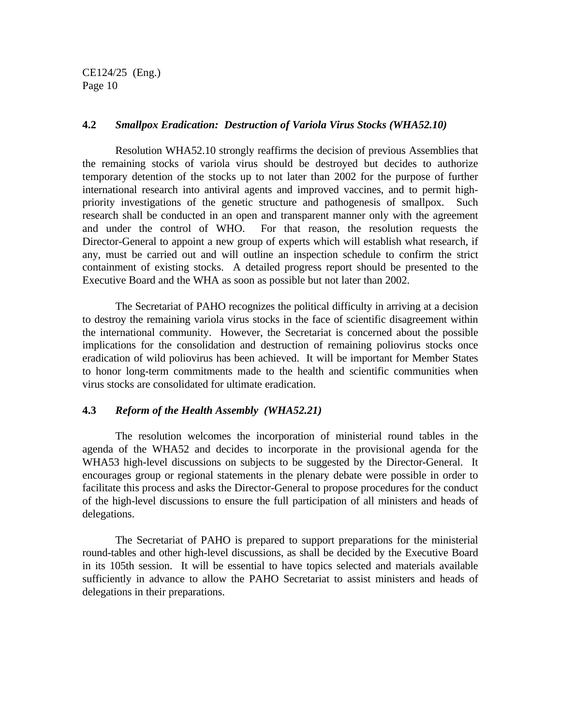#### **4.2** *Smallpox Eradication: Destruction of Variola Virus Stocks (WHA52.10)*

Resolution WHA52.10 strongly reaffirms the decision of previous Assemblies that the remaining stocks of variola virus should be destroyed but decides to authorize temporary detention of the stocks up to not later than 2002 for the purpose of further international research into antiviral agents and improved vaccines, and to permit highpriority investigations of the genetic structure and pathogenesis of smallpox. Such research shall be conducted in an open and transparent manner only with the agreement and under the control of WHO. For that reason, the resolution requests the Director-General to appoint a new group of experts which will establish what research, if any, must be carried out and will outline an inspection schedule to confirm the strict containment of existing stocks. A detailed progress report should be presented to the Executive Board and the WHA as soon as possible but not later than 2002.

The Secretariat of PAHO recognizes the political difficulty in arriving at a decision to destroy the remaining variola virus stocks in the face of scientific disagreement within the international community. However, the Secretariat is concerned about the possible implications for the consolidation and destruction of remaining poliovirus stocks once eradication of wild poliovirus has been achieved. It will be important for Member States to honor long-term commitments made to the health and scientific communities when virus stocks are consolidated for ultimate eradication.

### **4.3** *Reform of the Health Assembly (WHA52.21)*

The resolution welcomes the incorporation of ministerial round tables in the agenda of the WHA52 and decides to incorporate in the provisional agenda for the WHA53 high-level discussions on subjects to be suggested by the Director-General. It encourages group or regional statements in the plenary debate were possible in order to facilitate this process and asks the Director-General to propose procedures for the conduct of the high-level discussions to ensure the full participation of all ministers and heads of delegations.

The Secretariat of PAHO is prepared to support preparations for the ministerial round-tables and other high-level discussions, as shall be decided by the Executive Board in its 105th session. It will be essential to have topics selected and materials available sufficiently in advance to allow the PAHO Secretariat to assist ministers and heads of delegations in their preparations.